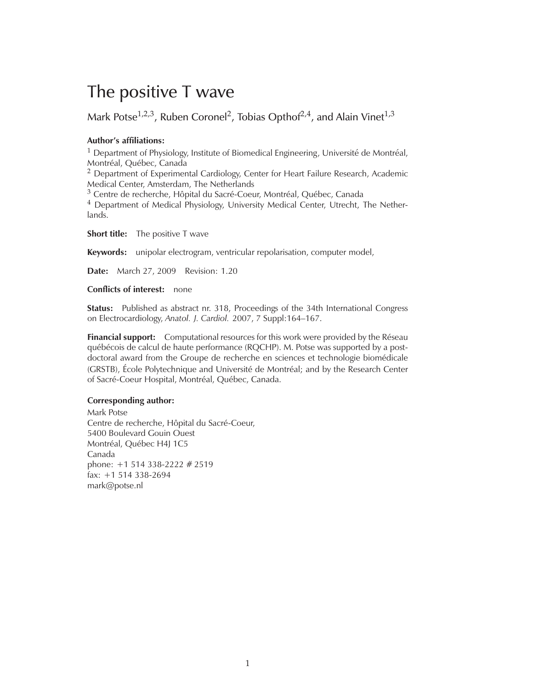# The positive T wave

Mark Potse $^{1,2,3}$ , Ruben Coronel<sup>2</sup>, Tobias Opthof $^{2,4}$ , and Alain Vinet $^{1,3}$ 

#### **Author's affiliations:**

 $1$  Department of Physiology, Institute of Biomedical Engineering, Université de Montréal, Montréal, Québec, Canada

<sup>2</sup> Department of Experimental Cardiology, Center for Heart Failure Research, Academic Medical Center, Amsterdam, The Netherlands

<sup>3</sup> Centre de recherche, Hôpital du Sacré-Coeur, Montréal, Québec, Canada

<sup>4</sup> Department of Medical Physiology, University Medical Center, Utrecht, The Netherlands.

**Short title:** The positive T wave

**Keywords:** unipolar electrogram, ventricular repolarisation, computer model,

**Date:** March 27, 2009 Revision: 1.20

#### **Conflicts of interest:** none

**Status:** Published as abstract nr. 318, Proceedings of the 34th International Congress on Electrocardiology, *Anatol. J. Cardiol.* 2007, 7 Suppl:164–167.

**Financial support:** Computational resources for this work were provided by the Réseau québécois de calcul de haute performance (RQCHP). M. Potse was supported by a postdoctoral award from the Groupe de recherche en sciences et technologie biomédicale (GRSTB), École Polytechnique and Université de Montréal; and by the Research Center of Sacré-Coeur Hospital, Montréal, Québec, Canada.

#### **Corresponding author:**

Mark Potse Centre de recherche, Hôpital du Sacré-Coeur, 5400 Boulevard Gouin Ouest Montréal, Québec H4J 1C5 Canada phone: +1 514 338-2222 # 2519 fax: +1 514 338-2694 mark@potse.nl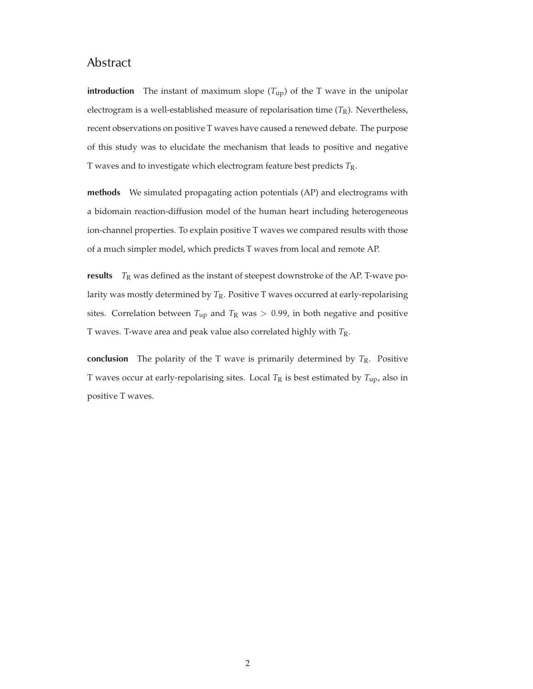# Abstract

**introduction** The instant of maximum slope  $(T_{up})$  of the T wave in the unipolar electrogram is a well-established measure of repolarisation time  $(T_R)$ . Nevertheless, recent observations on positive T waves have caused a renewed debate. The purpose of this study was to elucidate the mechanism that leads to positive and negative T waves and to investigate which electrogram feature best predicts *T*R.

**methods** We simulated propagating action potentials (AP) and electrograms with a bidomain reaction-diffusion model of the human heart including heterogeneous ion-channel properties. To explain positive T waves we compared results with those of a much simpler model, which predicts T waves from local and remote AP.

**results**  $T_R$  was defined as the instant of steepest downstroke of the AP. T-wave polarity was mostly determined by *T*R. Positive T waves occurred at early-repolarising sites. Correlation between  $T_{up}$  and  $T_R$  was  $> 0.99$ , in both negative and positive T waves. T-wave area and peak value also correlated highly with *T*R.

**conclusion** The polarity of the T wave is primarily determined by  $T_R$ . Positive T waves occur at early-repolarising sites. Local  $T_R$  is best estimated by  $T_{\text{up}}$ , also in positive T waves.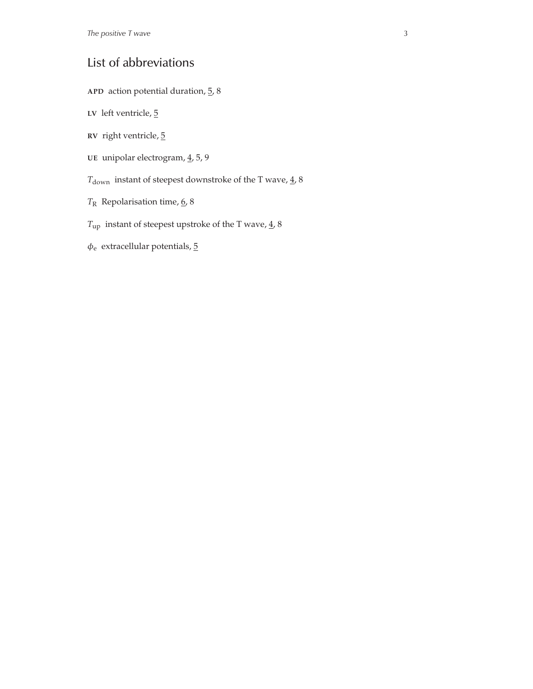# List of abbreviations

- **APD** action potential duration, 5, 8
- LV left ventricle,  $\overline{5}$
- **RV** right ventricle, 5
- UE unipolar electrogram,  $\leq$ , 5, 9
- $T_{\rm down}$  instant of steepest downstroke of the T wave,  $\underline{4}$  ,<br>  $8$
- *T*<sup>R</sup> Repolarisation time, 6, 8
- $T_{\rm up}$  instant of steepest upstroke of the T wave,  $\underline{4}$ , 8
- $\phi_e$  extracellular potentials,  $5$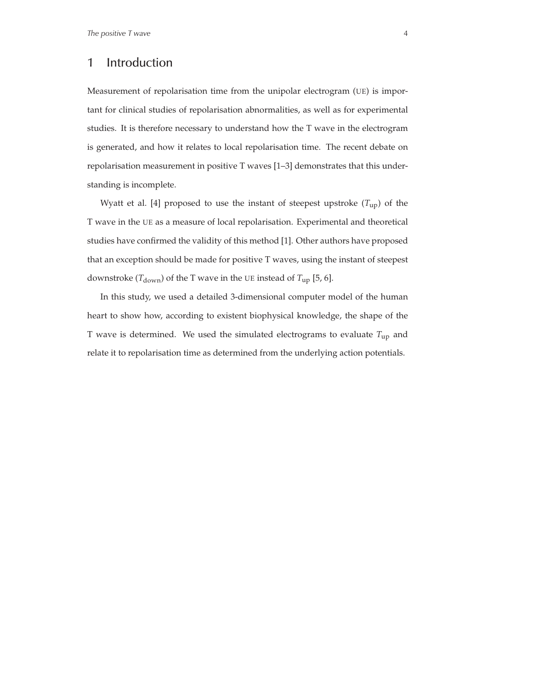# 1 Introduction

Measurement of repolarisation time from the unipolar electrogram (UE) is important for clinical studies of repolarisation abnormalities, as well as for experimental studies. It is therefore necessary to understand how the T wave in the electrogram is generated, and how it relates to local repolarisation time. The recent debate on repolarisation measurement in positive T waves [1–3] demonstrates that this understanding is incomplete.

Wyatt et al. [4] proposed to use the instant of steepest upstroke (*T*up) of the T wave in the UE as a measure of local repolarisation. Experimental and theoretical studies have confirmed the validity of this method [1]. Other authors have proposed that an exception should be made for positive T waves, using the instant of steepest downstroke ( $T_{\text{down}}$ ) of the T wave in the UE instead of  $T_{\text{up}}$  [5, 6].

In this study, we used a detailed 3-dimensional computer model of the human heart to show how, according to existent biophysical knowledge, the shape of the T wave is determined. We used the simulated electrograms to evaluate *T*up and relate it to repolarisation time as determined from the underlying action potentials.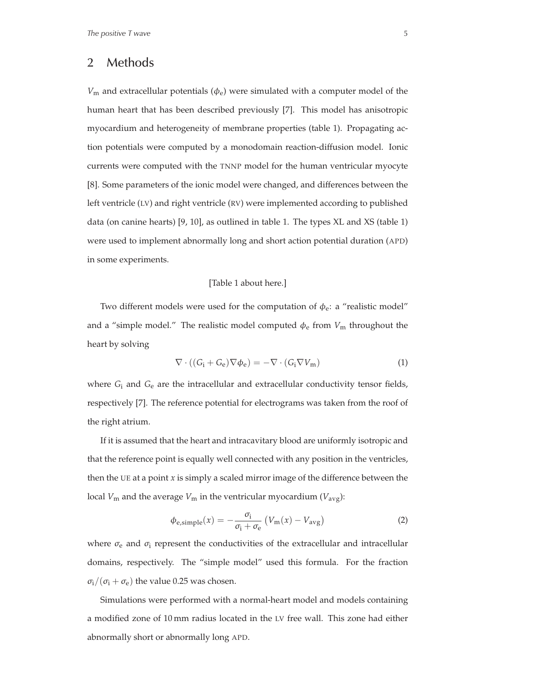# 2 Methods

 $V_{\rm m}$  and extracellular potentials ( $\phi_{\rm e}$ ) were simulated with a computer model of the human heart that has been described previously [7]. This model has anisotropic myocardium and heterogeneity of membrane properties (table 1). Propagating action potentials were computed by a monodomain reaction-diffusion model. Ionic currents were computed with the TNNP model for the human ventricular myocyte [8]. Some parameters of the ionic model were changed, and differences between the left ventricle (LV) and right ventricle (RV) were implemented according to published data (on canine hearts) [9, 10], as outlined in table 1. The types XL and XS (table 1) were used to implement abnormally long and short action potential duration (APD) in some experiments.

#### [Table 1 about here.]

Two different models were used for the computation of  $\phi_e$ : a "realistic model" and a "simple model." The realistic model computed  $\phi_e$  from  $V_m$  throughout the heart by solving

$$
\nabla \cdot ((G_i + G_e) \nabla \phi_e) = -\nabla \cdot (G_i \nabla V_m)
$$
\n(1)

where *G*<sup>i</sup> and *G*<sup>e</sup> are the intracellular and extracellular conductivity tensor fields, respectively [7]. The reference potential for electrograms was taken from the roof of the right atrium.

If it is assumed that the heart and intracavitary blood are uniformly isotropic and that the reference point is equally well connected with any position in the ventricles, then the UE at a point *x* is simply a scaled mirror image of the difference between the local  $V_m$  and the average  $V_m$  in the ventricular myocardium ( $V_{avg}$ ):

$$
\phi_{\text{e,simple}}(x) = -\frac{\sigma_{\text{i}}}{\sigma_{\text{i}} + \sigma_{\text{e}}} \left( V_{\text{m}}(x) - V_{\text{avg}} \right) \tag{2}
$$

where  $\sigma_e$  and  $\sigma_i$  represent the conductivities of the extracellular and intracellular domains, respectively. The "simple model" used this formula. For the fraction  $\sigma_i/(\sigma_i + \sigma_e)$  the value 0.25 was chosen.

Simulations were performed with a normal-heart model and models containing a modified zone of 10 mm radius located in the LV free wall. This zone had either abnormally short or abnormally long APD.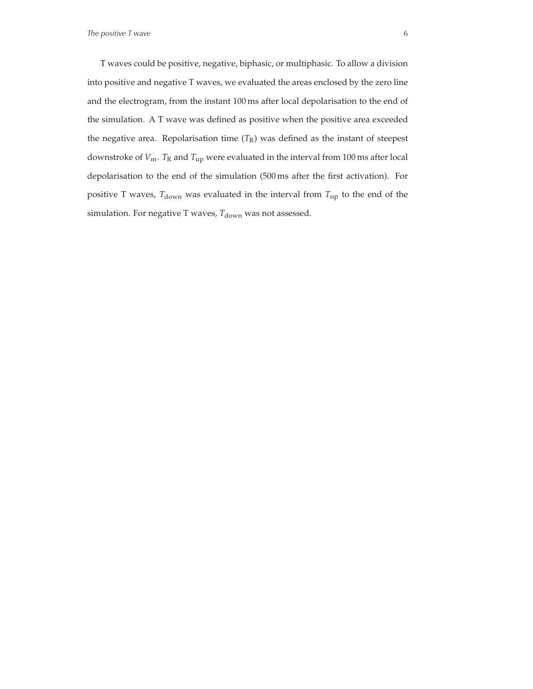**The positive T wave** 6

T waves could be positive, negative, biphasic, or multiphasic. To allow a division into positive and negative T waves, we evaluated the areas enclosed by the zero line and the electrogram, from the instant 100 ms after local depolarisation to the end of the simulation. A T wave was defined as positive when the positive area exceeded the negative area. Repolarisation time  $(T_R)$  was defined as the instant of steepest downstroke of  $V_m$ .  $T_R$  and  $T_{up}$  were evaluated in the interval from 100 ms after local depolarisation to the end of the simulation (500 ms after the first activation). For positive T waves,  $T_{down}$  was evaluated in the interval from  $T_{up}$  to the end of the simulation. For negative T waves,  $T_{\rm down}$  was not assessed.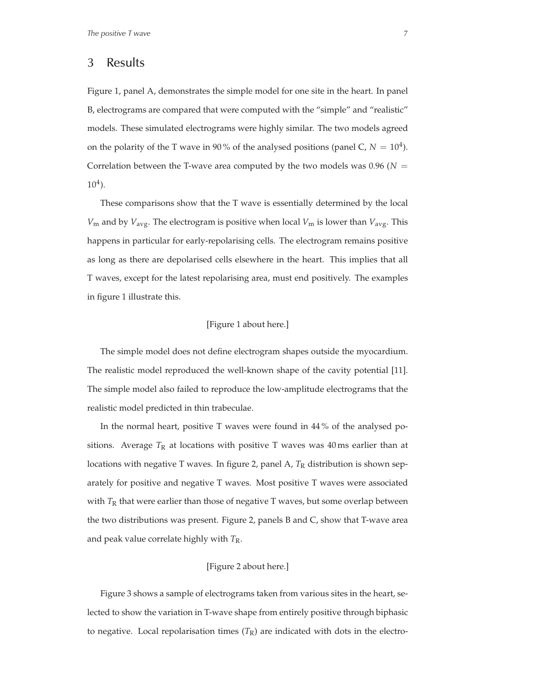## 3 Results

Figure 1, panel A, demonstrates the simple model for one site in the heart. In panel B, electrograms are compared that were computed with the "simple" and "realistic" models. These simulated electrograms were highly similar. The two models agreed on the polarity of the T wave in 90% of the analysed positions (panel C,  $N = 10<sup>4</sup>$ ). Correlation between the T-wave area computed by the two models was  $0.96$  ( $N =$  $10<sup>4</sup>$ ).

These comparisons show that the T wave is essentially determined by the local  $V_m$  and by  $V_{avg}$ . The electrogram is positive when local  $V_m$  is lower than  $V_{avg}$ . This happens in particular for early-repolarising cells. The electrogram remains positive as long as there are depolarised cells elsewhere in the heart. This implies that all T waves, except for the latest repolarising area, must end positively. The examples in figure 1 illustrate this.

#### [Figure 1 about here.]

The simple model does not define electrogram shapes outside the myocardium. The realistic model reproduced the well-known shape of the cavity potential [11]. The simple model also failed to reproduce the low-amplitude electrograms that the realistic model predicted in thin trabeculae.

In the normal heart, positive T waves were found in 44 % of the analysed positions. Average  $T_R$  at locations with positive T waves was 40 ms earlier than at locations with negative T waves. In figure 2, panel A, T<sub>R</sub> distribution is shown separately for positive and negative T waves. Most positive T waves were associated with  $T_R$  that were earlier than those of negative  $T$  waves, but some overlap between the two distributions was present. Figure 2, panels B and C, show that T-wave area and peak value correlate highly with *T*R.

#### [Figure 2 about here.]

Figure 3 shows a sample of electrograms taken from various sites in the heart, selected to show the variation in T-wave shape from entirely positive through biphasic to negative. Local repolarisation times  $(T_R)$  are indicated with dots in the electro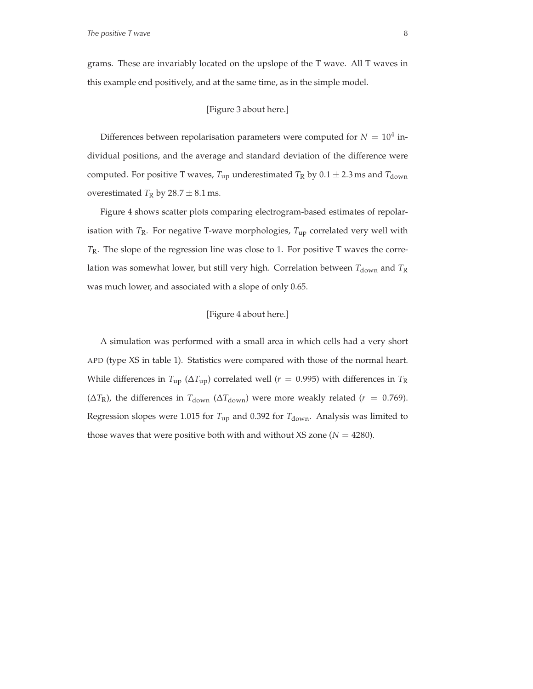grams. These are invariably located on the upslope of the T wave. All T waves in this example end positively, and at the same time, as in the simple model.

#### [Figure 3 about here.]

Differences between repolarisation parameters were computed for  $N = 10^4$  individual positions, and the average and standard deviation of the difference were computed. For positive T waves,  $T_{\text{up}}$  underestimated  $T_R$  by  $0.1 \pm 2.3$  ms and  $T_{\text{down}}$ overestimated  $T_R$  by  $28.7 \pm 8.1$  ms.

Figure 4 shows scatter plots comparing electrogram-based estimates of repolarisation with  $T_R$ . For negative T-wave morphologies,  $T_{up}$  correlated very well with *T*R. The slope of the regression line was close to 1. For positive T waves the correlation was somewhat lower, but still very high. Correlation between  $T_{down}$  and  $T_R$ was much lower, and associated with a slope of only 0.65.

#### [Figure 4 about here.]

A simulation was performed with a small area in which cells had a very short APD (type XS in table 1). Statistics were compared with those of the normal heart. While differences in  $T_{\text{up}}$  ( $\Delta T_{\text{up}}$ ) correlated well ( $r = 0.995$ ) with differences in  $T_R$ ( $\Delta T_{\rm R}$ ), the differences in  $T_{\rm down}$  ( $\Delta T_{\rm down}$ ) were more weakly related (*r* = 0.769). Regression slopes were 1.015 for  $T_{\text{up}}$  and 0.392 for  $T_{\text{down}}$ . Analysis was limited to those waves that were positive both with and without  $XS$  zone ( $N = 4280$ ).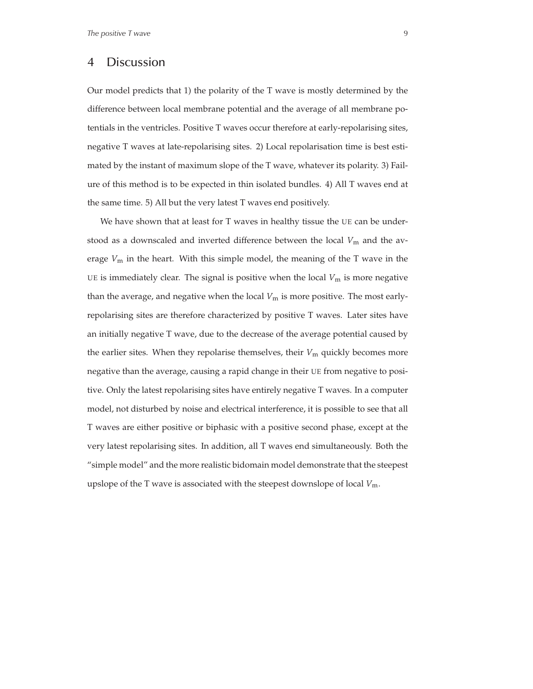### 4 Discussion

Our model predicts that 1) the polarity of the T wave is mostly determined by the difference between local membrane potential and the average of all membrane potentials in the ventricles. Positive T waves occur therefore at early-repolarising sites, negative T waves at late-repolarising sites. 2) Local repolarisation time is best estimated by the instant of maximum slope of the T wave, whatever its polarity. 3) Failure of this method is to be expected in thin isolated bundles. 4) All T waves end at the same time. 5) All but the very latest T waves end positively.

We have shown that at least for T waves in healthy tissue the UE can be understood as a downscaled and inverted difference between the local  $V_m$  and the average  $V_m$  in the heart. With this simple model, the meaning of the T wave in the UE is immediately clear. The signal is positive when the local  $V_m$  is more negative than the average, and negative when the local  $V_m$  is more positive. The most earlyrepolarising sites are therefore characterized by positive T waves. Later sites have an initially negative T wave, due to the decrease of the average potential caused by the earlier sites. When they repolarise themselves, their  $V_m$  quickly becomes more negative than the average, causing a rapid change in their UE from negative to positive. Only the latest repolarising sites have entirely negative T waves. In a computer model, not disturbed by noise and electrical interference, it is possible to see that all T waves are either positive or biphasic with a positive second phase, except at the very latest repolarising sites. In addition, all T waves end simultaneously. Both the "simple model" and the more realistic bidomain model demonstrate that the steepest upslope of the T wave is associated with the steepest downslope of local *V*m.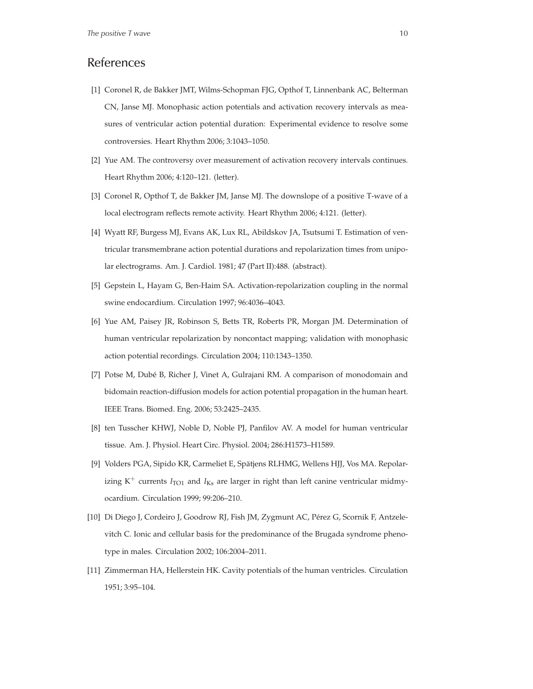# References

- [1] Coronel R, de Bakker JMT, Wilms-Schopman FJG, Opthof T, Linnenbank AC, Belterman CN, Janse MJ. Monophasic action potentials and activation recovery intervals as measures of ventricular action potential duration: Experimental evidence to resolve some controversies. Heart Rhythm 2006; 3:1043–1050.
- [2] Yue AM. The controversy over measurement of activation recovery intervals continues. Heart Rhythm 2006; 4:120–121. (letter).
- [3] Coronel R, Opthof T, de Bakker JM, Janse MJ. The downslope of a positive T-wave of a local electrogram reflects remote activity. Heart Rhythm 2006; 4:121. (letter).
- [4] Wyatt RF, Burgess MJ, Evans AK, Lux RL, Abildskov JA, Tsutsumi T. Estimation of ventricular transmembrane action potential durations and repolarization times from unipolar electrograms. Am. J. Cardiol. 1981; 47 (Part II):488. (abstract).
- [5] Gepstein L, Hayam G, Ben-Haim SA. Activation-repolarization coupling in the normal swine endocardium. Circulation 1997; 96:4036–4043.
- [6] Yue AM, Paisey JR, Robinson S, Betts TR, Roberts PR, Morgan JM. Determination of human ventricular repolarization by noncontact mapping; validation with monophasic action potential recordings. Circulation 2004; 110:1343–1350.
- [7] Potse M, Dubé B, Richer J, Vinet A, Gulrajani RM. A comparison of monodomain and bidomain reaction-diffusion models for action potential propagation in the human heart. IEEE Trans. Biomed. Eng. 2006; 53:2425–2435.
- [8] ten Tusscher KHWJ, Noble D, Noble PJ, Panfilov AV. A model for human ventricular tissue. Am. J. Physiol. Heart Circ. Physiol. 2004; 286:H1573–H1589.
- [9] Volders PGA, Sipido KR, Carmeliet E, Spätjens RLHMG, Wellens HJJ, Vos MA. Repolarizing  $K^+$  currents  $I_{TO1}$  and  $I_{Ks}$  are larger in right than left canine ventricular midmyocardium. Circulation 1999; 99:206–210.
- [10] Di Diego J, Cordeiro J, Goodrow RJ, Fish JM, Zygmunt AC, Pérez G, Scornik F, Antzelevitch C. Ionic and cellular basis for the predominance of the Brugada syndrome phenotype in males. Circulation 2002; 106:2004–2011.
- [11] Zimmerman HA, Hellerstein HK. Cavity potentials of the human ventricles. Circulation 1951; 3:95–104.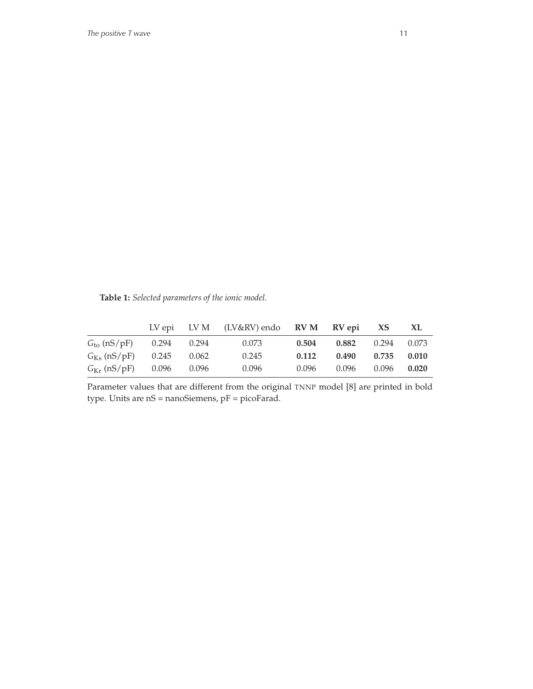**Table 1:** *Selected parameters of the ionic model.*

|                                     |               |       | LV epi LV M (LV&RV) endo RV M RV epi XS |       |       |                 | XL.   |
|-------------------------------------|---------------|-------|-----------------------------------------|-------|-------|-----------------|-------|
| $Gto$ (nS/pF)                       | $0.294$ 0.294 |       | 0.073                                   | 0.504 | 0.882 | $0.294$ $0.073$ |       |
| $G_{\rm Ks}$ (nS/pF)                | 0.245         | 0.062 | 0.245                                   | 0.112 | 0.490 | 0.735           | 0.010 |
| $G_{\text{Kr}}$ (nS/pF) 0.096 0.096 |               |       | 0.096                                   | 0.096 | 0.096 | 0.096           | 0.020 |

Parameter values that are different from the original TNNP model [8] are printed in bold type. Units are nS = nanoSiemens, pF = picoFarad.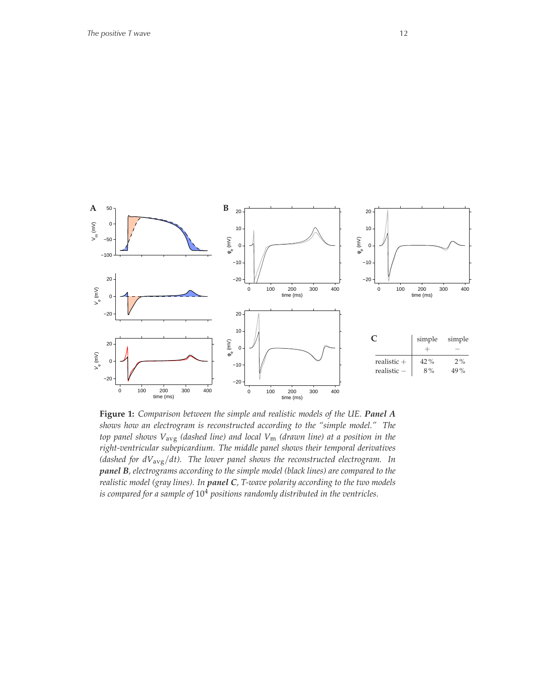

**Figure 1:** *Comparison between the simple and realistic models of the UE. Panel A shows how an electrogram is reconstructed according to the "simple model." The top panel shows V*avg *(dashed line) and local V*<sup>m</sup> *(drawn line) at a position in the right-ventricular subepicardium. The middle panel shows their temporal derivatives (dashed for dV*avg/*dt). The lower panel shows the reconstructed electrogram. In panel B, electrograms according to the simple model (black lines) are compared to the realistic model (gray lines). In panel C, T-wave polarity according to the two models is compared for a sample of* 10<sup>4</sup> *positions randomly distributed in the ventricles.*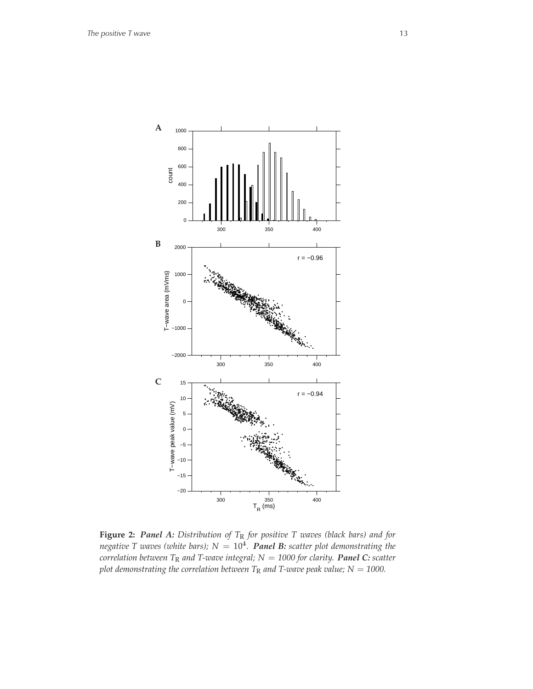

**Figure 2:** *Panel A: Distribution of T*<sup>R</sup> *for positive T waves (black bars) and for negative T waves (white bars); N* = 10<sup>4</sup> *. Panel B: scatter plot demonstrating the correlation between T*<sup>R</sup> *and T-wave integral; N* = *1000 for clarity. Panel C: scatter plot demonstrating the correlation between*  $T_R$  *and T-wave peak value;*  $N = 1000$ .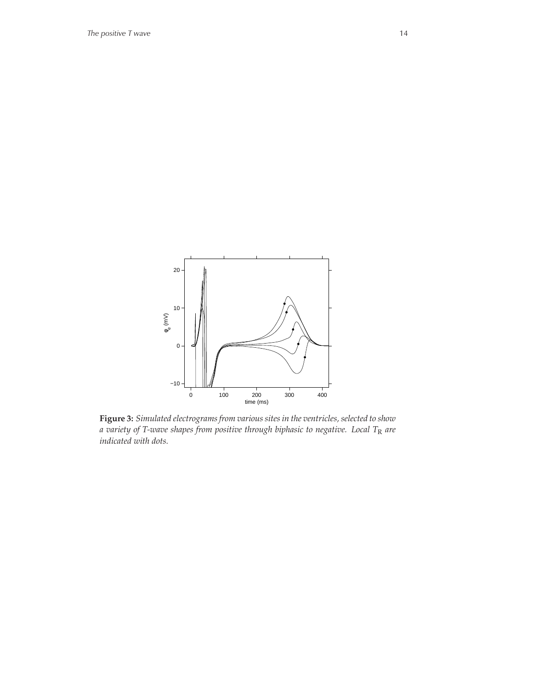

**Figure 3:** *Simulated electrograms from various sites in the ventricles, selected to show a variety of T-wave shapes from positive through biphasic to negative. Local T*<sup>R</sup> *are indicated with dots.*